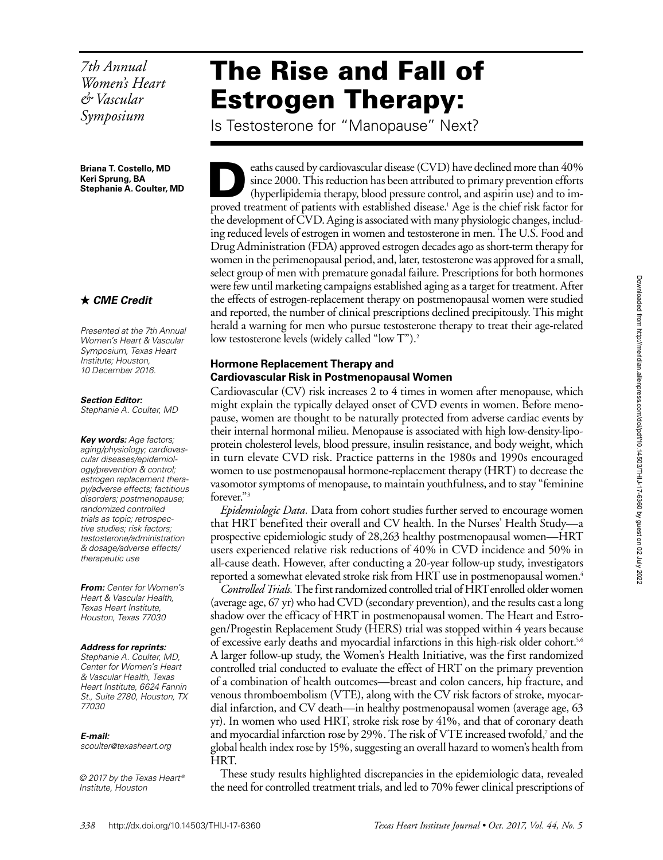*7th Annual Women's Heart & Vascular Symposium*

**Briana T. Costello, MD Keri Sprung, BA Stephanie A. Coulter, MD**

# *CME Credit*

*Presented at the 7th Annual Women's Heart & Vascular Symposium, Texas Heart Institute; Houston, 10 December 2016.*

*Section Editor:*

*Stephanie A. Coulter, MD*

*Key words: Age factors; aging/physiology; cardiovascular diseases/epidemiology/prevention & control; estrogen replacement therapy/adverse effects; factitious disorders; postmenopause; randomized controlled trials as topic; retrospective studies; risk factors; testosterone/administration & dosage/adverse effects/ therapeutic use*

*From: Center for Women's Heart & Vascular Health, Texas Heart Institute, Houston, Texas 77030*

#### *Address for reprints:*

*Stephanie A. Coulter, MD, Center for Women's Heart & Vascular Health, Texas Heart Institute, 6624 Fannin St., Suite 2780, Houston, TX 77030*

#### *E-mail:*

*scoulter@texasheart.org*

*© 2017 by the Texas Heart ® Institute, Houston*

# The Rise and Fall of Estrogen Therapy:

Is Testosterone for "Manopause" Next?

eaths caused by cardiovascular disease (CVD) have declined more than 40% since 2000. This reduction has been attributed to primary prevention efforts (hyperlipidemia therapy, blood pressure control, and aspirin use) and to improved treatment of patients with established disease.<sup>1</sup> Age is the chief risk factor for the development of CVD. Aging is associated with many physiologic changes, including reduced levels of estrogen in women and testosterone in men. The U.S. Food and Drug Administration (FDA) approved estrogen decades ago as short-term therapy for women in the perimenopausal period, and, later, testosterone was approved for a small, select group of men with premature gonadal failure. Prescriptions for both hormones were few until marketing campaigns established aging as a target for treatment. After the effects of estrogen-replacement therapy on postmenopausal women were studied and reported, the number of clinical prescriptions declined precipitously. This might herald a warning for men who pursue testosterone therapy to treat their age-related low testosterone levels (widely called "low T").<sup>2</sup>

### **Hormone Replacement Therapy and Cardiovascular Risk in Postmenopausal Women**

Cardiovascular (CV) risk increases 2 to 4 times in women after menopause, which might explain the typically delayed onset of CVD events in women. Before menopause, women are thought to be naturally protected from adverse cardiac events by their internal hormonal milieu. Menopause is associated with high low-density-lipoprotein cholesterol levels, blood pressure, insulin resistance, and body weight, which in turn elevate CVD risk. Practice patterns in the 1980s and 1990s encouraged women to use postmenopausal hormone-replacement therapy (HRT) to decrease the vasomotor symptoms of menopause, to maintain youthfulness, and to stay "feminine forever."3

*Epidemiologic Data.* Data from cohort studies further served to encourage women that HRT benefited their overall and CV health. In the Nurses' Health Study—a prospective epidemiologic study of 28,263 healthy postmenopausal women—HRT users experienced relative risk reductions of 40% in CVD incidence and 50% in all-cause death. However, after conducting a 20-year follow-up study, investigators reported a somewhat elevated stroke risk from HRT use in postmenopausal women.<sup>4</sup>

*Controlled Trials.* The first randomized controlled trial of HRT enrolled older women (average age, 67 yr) who had CVD (secondary prevention), and the results cast a long shadow over the efficacy of HRT in postmenopausal women. The Heart and Estrogen/Progestin Replacement Study (HERS) trial was stopped within 4 years because of excessive early deaths and myocardial infarctions in this high-risk older cohort.<sup>5,6</sup> A larger follow-up study, the Women's Health Initiative, was the first randomized controlled trial conducted to evaluate the effect of HRT on the primary prevention of a combination of health outcomes—breast and colon cancers, hip fracture, and venous thromboembolism (VTE), along with the CV risk factors of stroke, myocardial infarction, and CV death—in healthy postmenopausal women (average age, 63 yr). In women who used HRT, stroke risk rose by 41%, and that of coronary death and myocardial infarction rose by 29%. The risk of VTE increased twofold, $^7$  and the global health index rose by 15%, suggesting an overall hazard to women's health from HRT.

These study results highlighted discrepancies in the epidemiologic data, revealed the need for controlled treatment trials, and led to 70% fewer clinical prescriptions of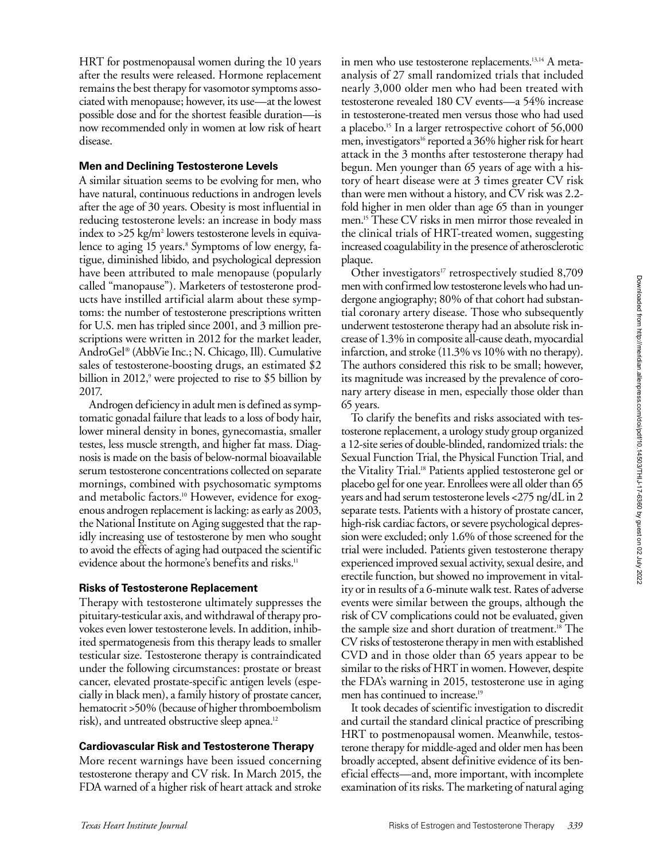HRT for postmenopausal women during the 10 years after the results were released. Hormone replacement remains the best therapy for vasomotor symptoms associated with menopause; however, its use—at the lowest possible dose and for the shortest feasible duration—is now recommended only in women at low risk of heart disease.

# **Men and Declining Testosterone Levels**

A similar situation seems to be evolving for men, who have natural, continuous reductions in androgen levels after the age of 30 years. Obesity is most influential in reducing testosterone levels: an increase in body mass index to >25 kg/m<sup>2</sup> lowers testosterone levels in equivalence to aging 15 years.<sup>8</sup> Symptoms of low energy, fatigue, diminished libido, and psychological depression have been attributed to male menopause (popularly called "manopause"). Marketers of testosterone products have instilled artificial alarm about these symptoms: the number of testosterone prescriptions written for U.S. men has tripled since 2001, and 3 million prescriptions were written in 2012 for the market leader, AndroGel® (AbbVie Inc.; N. Chicago, Ill). Cumulative sales of testosterone-boosting drugs, an estimated \$2 billion in 2012,<sup>9</sup> were projected to rise to \$5 billion by 2017.

Androgen deficiency in adult men is defined as symptomatic gonadal failure that leads to a loss of body hair, lower mineral density in bones, gynecomastia, smaller testes, less muscle strength, and higher fat mass. Diagnosis is made on the basis of below-normal bioavailable serum testosterone concentrations collected on separate mornings, combined with psychosomatic symptoms and metabolic factors.<sup>10</sup> However, evidence for exogenous androgen replacement is lacking: as early as 2003, the National Institute on Aging suggested that the rapidly increasing use of testosterone by men who sought to avoid the effects of aging had outpaced the scientific evidence about the hormone's benefits and risks.<sup>11</sup>

# **Risks of Testosterone Replacement**

Therapy with testosterone ultimately suppresses the pituitary-testicular axis, and withdrawal of therapy provokes even lower testosterone levels. In addition, inhibited spermatogenesis from this therapy leads to smaller testicular size. Testosterone therapy is contraindicated under the following circumstances: prostate or breast cancer, elevated prostate-specific antigen levels (especially in black men), a family history of prostate cancer, hematocrit >50% (because of higher thromboembolism risk), and untreated obstructive sleep apnea.<sup>12</sup>

# **Cardiovascular Risk and Testosterone Therapy**

More recent warnings have been issued concerning testosterone therapy and CV risk. In March 2015, the FDA warned of a higher risk of heart attack and stroke in men who use testosterone replacements.<sup>13,14</sup> A metaanalysis of 27 small randomized trials that included nearly 3,000 older men who had been treated with testosterone revealed 180 CV events—a 54% increase in testosterone-treated men versus those who had used a placebo.15 In a larger retrospective cohort of 56,000 men, investigators<sup>16</sup> reported a 36% higher risk for heart attack in the 3 months after testosterone therapy had begun. Men younger than 65 years of age with a history of heart disease were at 3 times greater CV risk than were men without a history, and CV risk was 2.2 fold higher in men older than age 65 than in younger men.15 These CV risks in men mirror those revealed in the clinical trials of HRT-treated women, suggesting increased coagulability in the presence of atherosclerotic plaque.

Other investigators<sup>17</sup> retrospectively studied 8,709 men with confirmed low testosterone levels who had undergone angiography; 80% of that cohort had substantial coronary artery disease. Those who subsequently underwent testosterone therapy had an absolute risk increase of 1.3% in composite all-cause death, myocardial infarction, and stroke (11.3% vs 10% with no therapy). The authors considered this risk to be small; however, its magnitude was increased by the prevalence of coronary artery disease in men, especially those older than 65 years.

To clarify the benefits and risks associated with testosterone replacement, a urology study group organized a 12-site series of double-blinded, randomized trials: the Sexual Function Trial, the Physical Function Trial, and the Vitality Trial.18 Patients applied testosterone gel or placebo gel for one year. Enrollees were all older than 65 years and had serum testosterone levels <275 ng/dL in 2 separate tests. Patients with a history of prostate cancer, high-risk cardiac factors, or severe psychological depression were excluded; only 1.6% of those screened for the trial were included. Patients given testosterone therapy experienced improved sexual activity, sexual desire, and erectile function, but showed no improvement in vitality or in results of a 6-minute walk test. Rates of adverse events were similar between the groups, although the risk of CV complications could not be evaluated, given the sample size and short duration of treatment.18 The CV risks of testosterone therapy in men with established CVD and in those older than 65 years appear to be similar to the risks of HRT in women. However, despite the FDA's warning in 2015, testosterone use in aging men has continued to increase.<sup>19</sup>

It took decades of scientific investigation to discredit and curtail the standard clinical practice of prescribing HRT to postmenopausal women. Meanwhile, testosterone therapy for middle-aged and older men has been broadly accepted, absent definitive evidence of its beneficial effects—and, more important, with incomplete examination of its risks. The marketing of natural aging